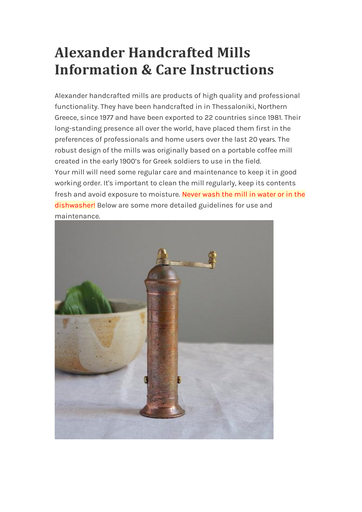# **Alexander Handcrafted Mills Information & Care Instructions**

Alexander handcrafted mills are products of high quality and professional functionality. They have been handcrafted in in Thessaloniki, Northern Greece, since 1977 and have been exported to 22 countries since 1981. Their long-standing presence all over the world, have placed them first in the preferences of professionals and home users over the last 20 years. The robust design of the mills was originally based on a portable coffee mill created in the early 1900's for Greek soldiers to use in the field. Your mill will need some regular care and maintenance to keep it in good working order. It's important to clean the mill regularly, keep its contents fresh and avoid exposure to moisture. Never wash the mill in water or in the dishwasher! Below are some more detailed guidelines for use and maintenance.

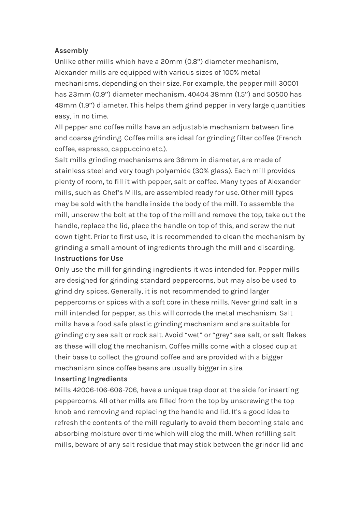#### **Assembly**

Unlike other mills which have a 20mm (0.8'') diameter mechanism, Alexander mills are equipped with various sizes of 100% metal mechanisms, depending on their size. For example, the pepper mill 30001 has 23mm (0.9'') diameter mechanism, 40404 38mm (1.5'') and 50500 has 48mm (1.9'') diameter. This helps them grind pepper in very large quantities easy, in no time.

All pepper and coffee mills have an adjustable mechanism between fine and coarse grinding. Coffee mills are ideal for grinding filter coffee (French coffee, espresso, cappuccino etc.).

Salt mills grinding mechanisms are 38mm in diameter, are made of stainless steel and very tough polyamide (30% glass). Each mill provides plenty of room, to fill it with pepper, salt or coffee. Many types of Alexander mills, such as Chef's Mills, are assembled ready for use. Other mill types may be sold with the handle inside the body of the mill. To assemble the mill, unscrew the bolt at the top of the mill and remove the top, take out the handle, replace the lid, place the handle on top of this, and screw the nut down tight. Prior to first use, it is recommended to clean the mechanism by grinding a small amount of ingredients through the mill and discarding. **Instructions for Use**

Only use the mill for grinding ingredients it was intended for. Pepper mills are designed for grinding standard peppercorns, but may also be used to grind dry spices. Generally, it is not recommended to grind larger peppercorns or spices with a soft core in these mills. Never grind salt in a mill intended for pepper, as this will corrode the metal mechanism. Salt mills have a food safe plastic grinding mechanism and are suitable for grinding dry sea salt or rock salt. Avoid "wet" or "grey" sea salt, or salt flakes as these will clog the mechanism. Coffee mills come with a closed cup at their base to collect the ground coffee and are provided with a bigger mechanism since coffee beans are usually bigger in size.

#### **Inserting Ingredients**

Mills 42006-106-606-706, have a unique trap door at the side for inserting peppercorns. All other mills are filled from the top by unscrewing the top knob and removing and replacing the handle and lid. It's a good idea to refresh the contents of the mill regularly to avoid them becoming stale and absorbing moisture over time which will clog the mill. When refilling salt mills, beware of any salt residue that may stick between the grinder lid and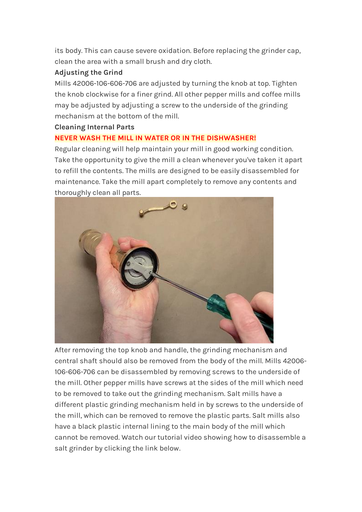its body. This can cause severe oxidation. Before replacing the grinder cap, clean the area with a small brush and dry cloth.

# **Adjusting the Grind**

Mills 42006-106-606-706 are adjusted by turning the knob at top. Tighten the knob clockwise for a finer grind. All other pepper mills and coffee mills may be adjusted by adjusting a screw to the underside of the grinding mechanism at the bottom of the mill.

## **Cleaning Internal Parts**

# **NEVER WASH THE MILL IN WATER OR IN THE DISHWASHER!**

Regular cleaning will help maintain your mill in good working condition. Take the opportunity to give the mill a clean whenever you've taken it apart to refill the contents. The mills are designed to be easily disassembled for maintenance. Take the mill apart completely to remove any contents and thoroughly clean all parts.



After removing the top knob and handle, the grinding mechanism and central shaft should also be removed from the body of the mill. Mills 42006- 106-606-706 can be disassembled by removing screws to the underside of the mill. Other pepper mills have screws at the sides of the mill which need to be removed to take out the grinding mechanism. Salt mills have a different plastic grinding mechanism held in by screws to the underside of the mill, which can be removed to remove the plastic parts. Salt mills also have a black plastic internal lining to the main body of the mill which cannot be removed. Watch our tutorial video showing how to disassemble a salt grinder by clicking the link below.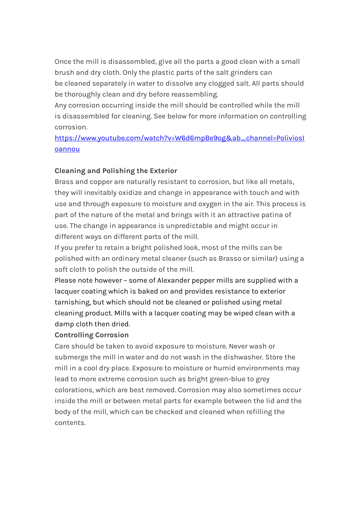Once the mill is disassembled, give all the parts a good clean with a small brush and dry cloth. Only the plastic parts of the salt grinders can be cleaned separately in water to dissolve any clogged salt. All parts should be thoroughly clean and dry before reassembling.

Any corrosion occurring inside the mill should be controlled while the mill is disassembled for cleaning. See below for more information on controlling corrosion.

[https://www.youtube.com/watch?v=W6d6mpBe9og&ab\\_channel=PoliviosI](https://www.youtube.com/watch?v=W6d6mpBe9og&ab_channel=PoliviosIoannou) [oannou](https://www.youtube.com/watch?v=W6d6mpBe9og&ab_channel=PoliviosIoannou)

## **Cleaning and Polishing the Exterior**

Brass and copper are naturally resistant to corrosion, but like all metals, they will inevitably oxidize and change in appearance with touch and with use and through exposure to moisture and oxygen in the air. This process is part of the nature of the metal and brings with it an attractive patina of use. The change in appearance is unpredictable and might occur in different ways on different parts of the mill.

If you prefer to retain a bright polished look, most of the mills can be polished with an ordinary metal cleaner (such as Brasso or similar) using a soft cloth to polish the outside of the mill.

Please note however – some of Alexander pepper mills are supplied with a lacquer coating which is baked on and provides resistance to exterior tarnishing, but which should not be cleaned or polished using metal cleaning product. Mills with a lacquer coating may be wiped clean with a damp cloth then dried.

## **Controlling Corrosion**

Care should be taken to avoid exposure to moisture. Never wash or submerge the mill in water and do not wash in the dishwasher. Store the mill in a cool dry place. Exposure to moisture or humid environments may lead to more extreme corrosion such as bright green-blue to grey colorations, which are best removed. Corrosion may also sometimes occur inside the mill or between metal parts for example between the lid and the body of the mill, which can be checked and cleaned when refilling the contents.